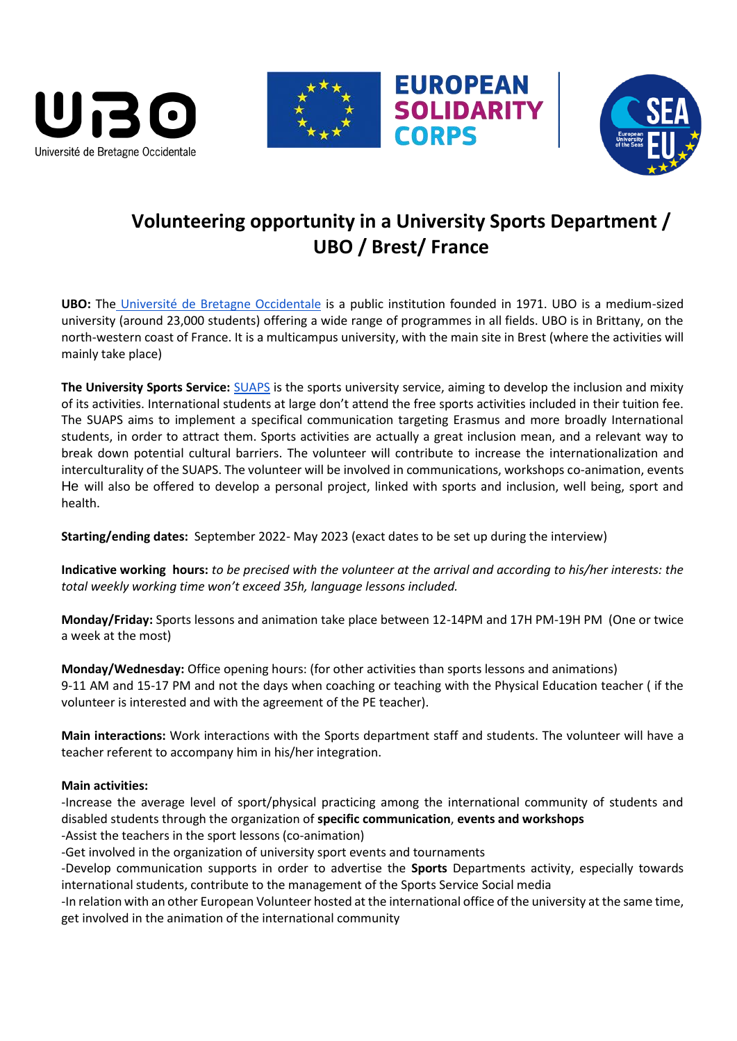





# **Volunteering opportunity in a University Sports Department / UBO / Brest/ France**

**EUROPEAN<br>SOLIDARITY** 

**CORPS** 

**UBO:** The [Université de Bretagne Occidentale](https://www.univ-brest.fr/GB/menu/About-us/About-the-university) is a public institution founded in 1971. UBO is a medium-sized university (around 23,000 students) offering a wide range of programmes in all fields. UBO is in Brittany, on the north-western coast of France. It is a multicampus university, with the main site in Brest (where the activities will mainly take place)

**The University Sports Service:** [SUAPS](https://www.univ-brest.fr/suaps/) is the sports university service, aiming to develop the inclusion and mixity of its activities. International students at large don't attend the free sports activities included in their tuition fee. The SUAPS aims to implement a specifical communication targeting Erasmus and more broadly International students, in order to attract them. Sports activities are actually a great inclusion mean, and a relevant way to break down potential cultural barriers. The volunteer will contribute to increase the internationalization and interculturality of the SUAPS. The volunteer will be involved in communications, workshops co-animation, events He will also be offered to develop a personal project, linked with sports and inclusion, well being, sport and health.

**Starting/ending dates:** September 2022- May 2023 (exact dates to be set up during the interview)

**Indicative working hours:** *to be precised with the volunteer at the arrival and according to his/her interests: the total weekly working time won't exceed 35h, language lessons included.*

**Monday/Friday:** Sports lessons and animation take place between 12-14PM and 17H PM-19H PM (One or twice a week at the most)

**Monday/Wednesday:** Office opening hours: (for other activities than sports lessons and animations) 9-11 AM and 15-17 PM and not the days when coaching or teaching with the Physical Education teacher ( if the volunteer is interested and with the agreement of the PE teacher).

**Main interactions:** Work interactions with the Sports department staff and students. The volunteer will have a teacher referent to accompany him in his/her integration.

# **Main activities:**

-Increase the average level of sport/physical practicing among the international community of students and disabled students through the organization of **specific communication**, **events and workshops** -Assist the teachers in the sport lessons (co-animation)

-Get involved in the organization of university sport events and tournaments

-Develop communication supports in order to advertise the **Sports** Departments activity, especially towards international students, contribute to the management of the Sports Service Social media

-In relation with an other European Volunteer hosted at the international office of the university at the same time, get involved in the animation of the international community